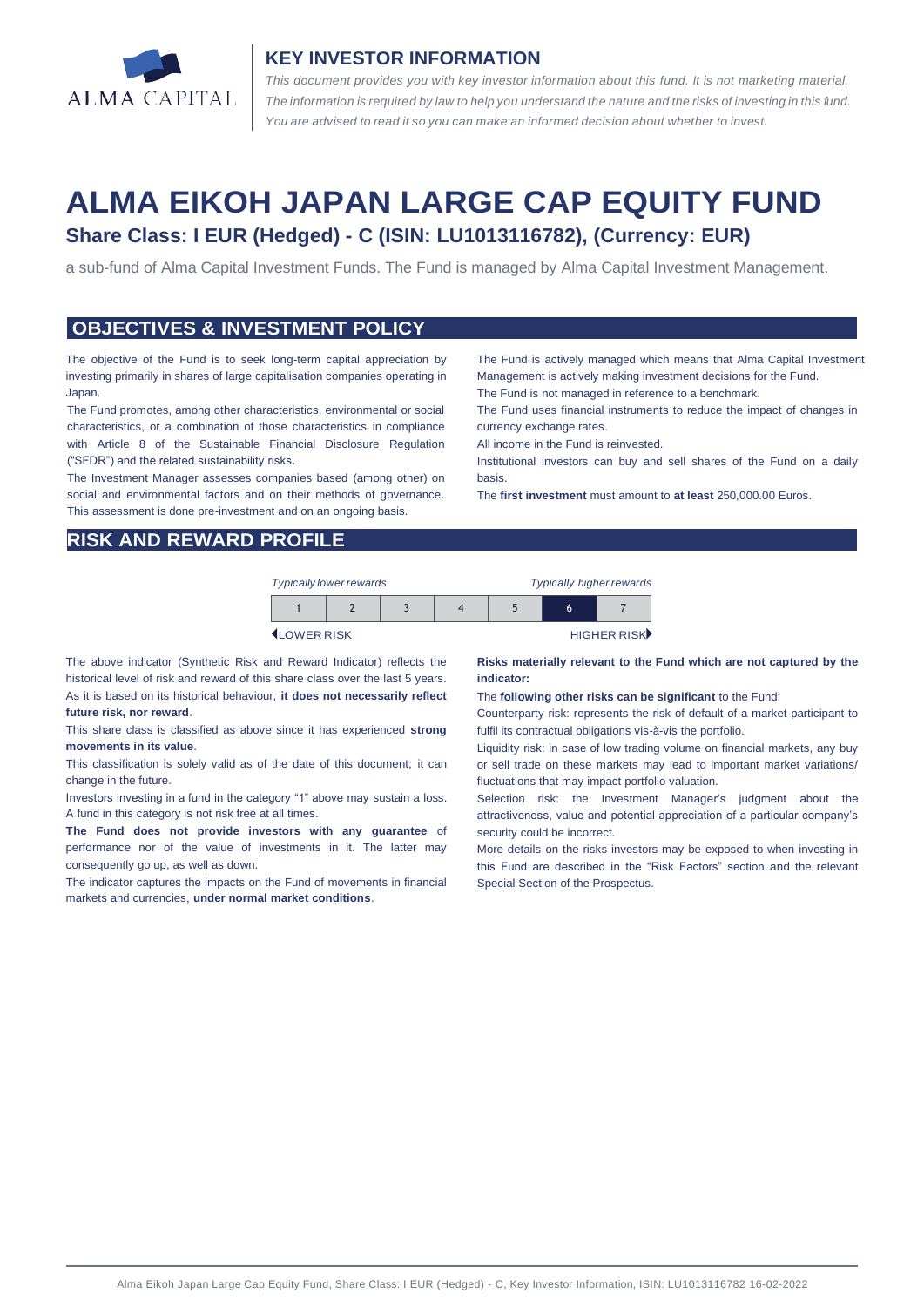

#### **KEY INVESTOR INFORMATION**

*This document provides you with key investor information about this fund. It is not marketing material.*  The information is required by law to help you understand the nature and the risks of investing in this fund. *You are advised to read it so you can make an informed decision about whether to invest.*

# **ALMA EIKOH JAPAN LARGE CAP EQUITY FUND Share Class: I EUR (Hedged) - C (ISIN: LU1013116782), (Currency: EUR)**

a sub-fund of Alma Capital Investment Funds. The Fund is managed by Alma Capital Investment Management.

#### **OBJECTIVES & INVESTMENT POLICY**

The objective of the Fund is to seek long-term capital appreciation by investing primarily in shares of large capitalisation companies operating in Japan.

The Fund promotes, among other characteristics, environmental or social characteristics, or a combination of those characteristics in compliance with Article 8 of the Sustainable Financial Disclosure Regulation ("SFDR") and the related sustainability risks.

The Investment Manager assesses companies based (among other) on social and environmental factors and on their methods of governance. This assessment is done pre-investment and on an ongoing basis.

The Fund is actively managed which means that Alma Capital Investment Management is actively making investment decisions for the Fund.

The Fund is not managed in reference to a benchmark.

The Fund uses financial instruments to reduce the impact of changes in currency exchange rates.

All income in the Fund is reinvested.

Institutional investors can buy and sell shares of the Fund on a daily basis.

The **first investment** must amount to **at least** 250,000.00 Euros.

## **RISK AND REWARD PROFILE**

| <b>Typically lower rewards</b> |  |  |  | <b>Typically higher rewards</b> |   |  |
|--------------------------------|--|--|--|---------------------------------|---|--|
|                                |  |  |  |                                 | h |  |

**ILOWER RISK HIGHER RISK** 

The above indicator (Synthetic Risk and Reward Indicator) reflects the historical level of risk and reward of this share class over the last 5 years. As it is based on its historical behaviour, **it does not necessarily reflect future risk, nor reward**.

This share class is classified as above since it has experienced **strong movements in its value**.

This classification is solely valid as of the date of this document; it can change in the future.

Investors investing in a fund in the category "1" above may sustain a loss. A fund in this category is not risk free at all times.

**The Fund does not provide investors with any guarantee** of performance nor of the value of investments in it. The latter may consequently go up, as well as down.

The indicator captures the impacts on the Fund of movements in financial markets and currencies, **under normal market conditions**.

**Risks materially relevant to the Fund which are not captured by the indicator:** 

The **following other risks can be significant** to the Fund:

Counterparty risk: represents the risk of default of a market participant to fulfil its contractual obligations vis-à-vis the portfolio.

Liquidity risk: in case of low trading volume on financial markets, any buy or sell trade on these markets may lead to important market variations/ fluctuations that may impact portfolio valuation.

Selection risk: the Investment Manager's judgment about the attractiveness, value and potential appreciation of a particular company's security could be incorrect.

More details on the risks investors may be exposed to when investing in this Fund are described in the "Risk Factors" section and the relevant Special Section of the Prospectus.